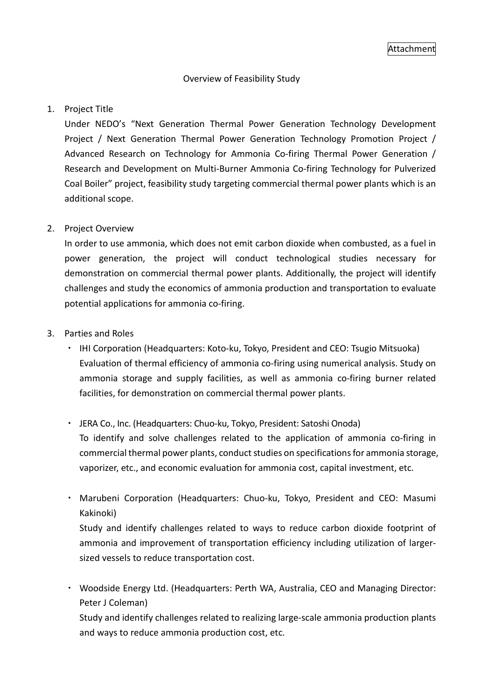## Overview of Feasibility Study

### 1. Project Title

Under NEDO's "Next Generation Thermal Power Generation Technology Development Project / Next Generation Thermal Power Generation Technology Promotion Project / Advanced Research on Technology for Ammonia Co-firing Thermal Power Generation / Research and Development on Multi-Burner Ammonia Co-firing Technology for Pulverized Coal Boiler" project, feasibility study targeting commercial thermal power plants which is an additional scope.

### 2. Project Overview

In order to use ammonia, which does not emit carbon dioxide when combusted, as a fuel in power generation, the project will conduct technological studies necessary for demonstration on commercial thermal power plants. Additionally, the project will identify challenges and study the economics of ammonia production and transportation to evaluate potential applications for ammonia co-firing.

### 3. Parties and Roles

- ・ IHI Corporation (Headquarters: Koto-ku, Tokyo, President and CEO: Tsugio Mitsuoka) Evaluation of thermal efficiency of ammonia co-firing using numerical analysis. Study on ammonia storage and supply facilities, as well as ammonia co-firing burner related facilities, for demonstration on commercial thermal power plants.
- ・ JERA Co., Inc. (Headquarters: Chuo-ku, Tokyo, President: Satoshi Onoda) To identify and solve challenges related to the application of ammonia co-firing in commercial thermal power plants, conduct studies on specifications for ammonia storage, vaporizer, etc., and economic evaluation for ammonia cost, capital investment, etc.
- ・ Marubeni Corporation (Headquarters: Chuo-ku, Tokyo, President and CEO: Masumi Kakinoki)

Study and identify challenges related to ways to reduce carbon dioxide footprint of ammonia and improvement of transportation efficiency including utilization of largersized vessels to reduce transportation cost.

・ Woodside Energy Ltd. (Headquarters: Perth WA, Australia, CEO and Managing Director: Peter J Coleman)

Study and identify challenges related to realizing large-scale ammonia production plants and ways to reduce ammonia production cost, etc.